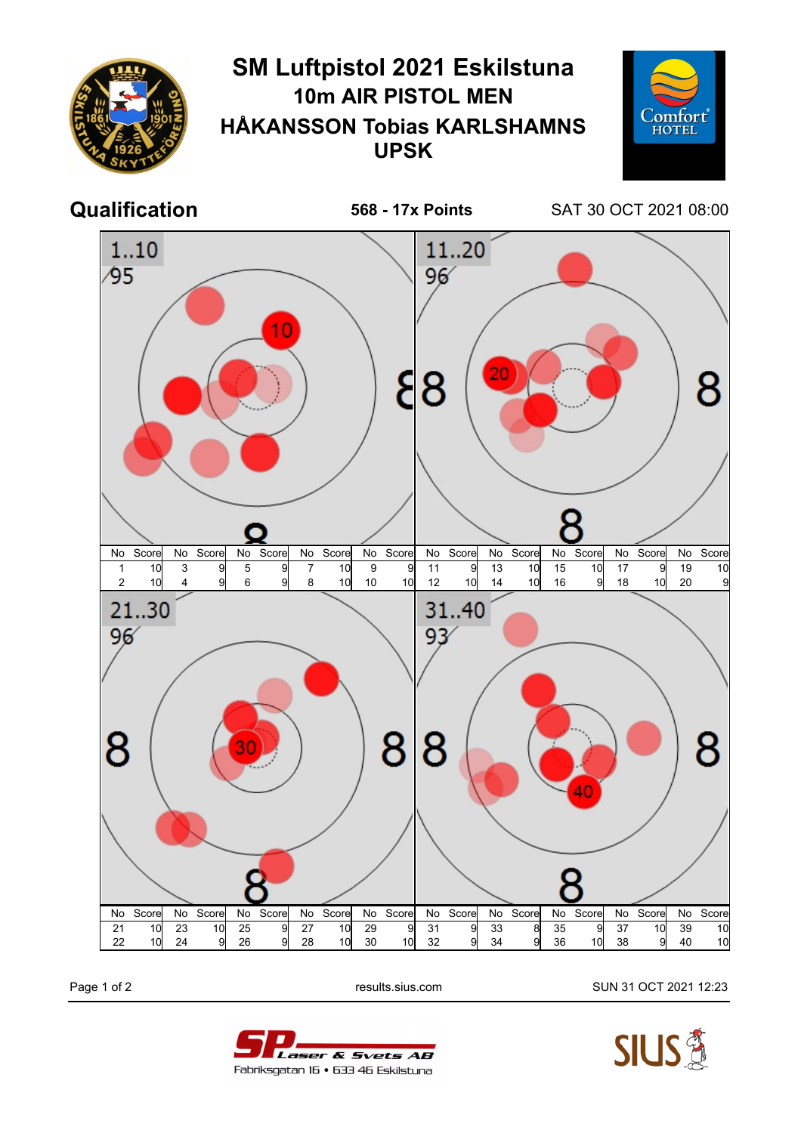

Page 1 of 2 results.sius.com SUN 31 OCT 2021 12:23